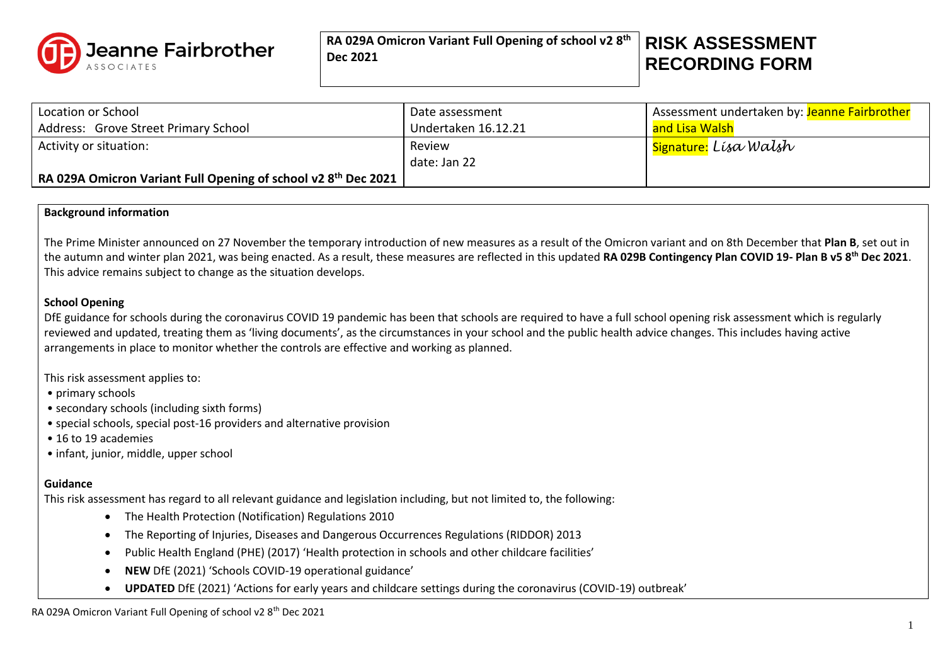

**RA 029A Omicron Variant Full Opening of school v2 8 th Dec 2021**

# **RISK ASSESSMENT RECORDING FORM**

| Location or School                                                                       | Date assessment     | Assessment undertaken by: Jeanne Fairbrother |
|------------------------------------------------------------------------------------------|---------------------|----------------------------------------------|
| Address: Grove Street Primary School                                                     | Undertaken 16.12.21 | and Lisa Walsh                               |
| Activity or situation:                                                                   | Review              | I <mark>Signature:</mark> Lísa Walsh         |
|                                                                                          | date: Jan 22        |                                              |
| $\mid$ RA 029A Omicron Variant Full Opening of school v2 8 <sup>th</sup> Dec 2021 $\mid$ |                     |                                              |

#### **Background information**

The Prime Minister announced on 27 November the temporary introduction of new measures as a result of the Omicron variant and on 8th December that **Plan B**, set out in the autumn and winter plan 2021, was being enacted. As a result, these measures are reflected in this updated **RA 029B Contingency Plan COVID 19- Plan B v5 8th Dec 2021**. This advice remains subject to change as the situation develops.

#### **School Opening**

DfE guidance for schools during the coronavirus COVID 19 pandemic has been that schools are required to have a full school opening risk assessment which is regularly reviewed and updated, treating them as 'living documents', as the circumstances in your school and the public health advice changes. This includes having active arrangements in place to monitor whether the controls are effective and working as planned.

This risk assessment applies to:

- primary schools
- secondary schools (including sixth forms)
- special schools, special post-16 providers and alternative provision
- 16 to 19 academies
- infant, junior, middle, upper school

### **Guidance**

This risk assessment has regard to all relevant guidance and legislation including, but not limited to, the following:

- The Health Protection (Notification) Regulations 2010
- The Reporting of Injuries, Diseases and Dangerous Occurrences Regulations (RIDDOR) 2013
- Public Health England (PHE) (2017) 'Health protection in schools and other childcare facilities'
- **NEW** DfE (2021) 'Schools COVID-19 operational guidance'
- **UPDATED** DfE (2021) 'Actions for early years and childcare settings during the coronavirus (COVID-19) outbreak'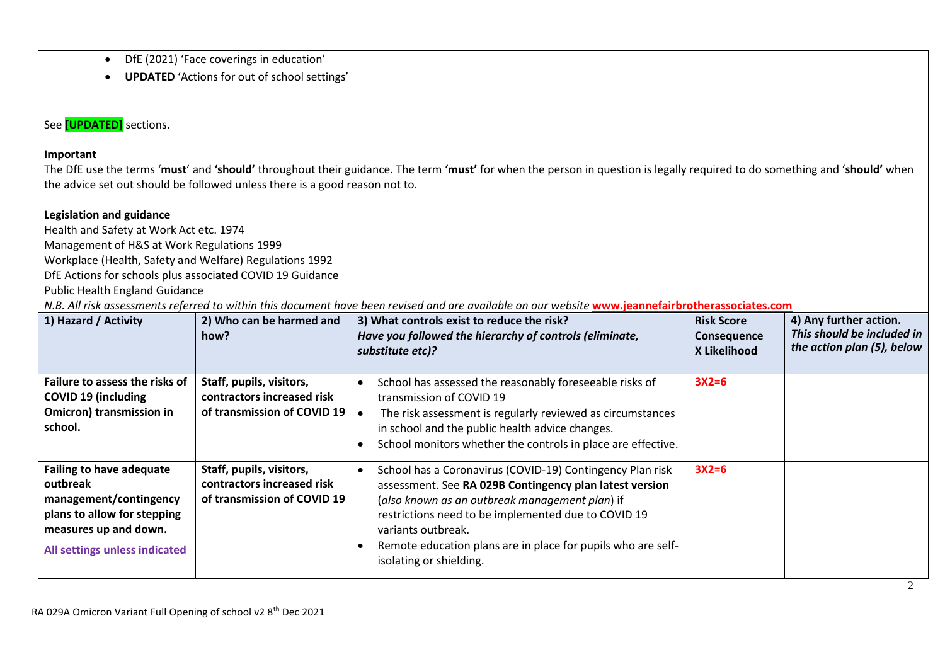- DfE (2021) 'Face coverings in education'
- **UPDATED** 'Actions for out of school settings'

# See **[UPDATED]** sections.

## **Important**

The DfE use the terms '**must**' and **'should'** throughout their guidance. The term **'must'** for when the person in question is legally required to do something and '**should'** when the advice set out should be followed unless there is a good reason not to.

## **Legislation and guidance**

Health and Safety at Work Act etc. 1974 Management of H&S at Work Regulations 1999 Workplace (Health, Safety and Welfare) Regulations 1992 DfE Actions for schools plus associated COVID 19 Guidance Public Health England Guidance

*N.B. All risk assessments referred to within this document have been revised and are available on our website* **[www.jeannefairbrotherassociates.com](http://www.jeannefairbrotherassociates.com/)**

| 1) Hazard / Activity                                                                                                                                           | 2) Who can be harmed and<br>how?                                                      | 3) What controls exist to reduce the risk?<br>Have you followed the hierarchy of controls (eliminate,<br>substitute etc)?                                                                                                                                                                                                                      | <b>Risk Score</b><br>Consequence<br>X Likelihood | 4) Any further action.<br>This should be included in<br>the action plan (5), below |
|----------------------------------------------------------------------------------------------------------------------------------------------------------------|---------------------------------------------------------------------------------------|------------------------------------------------------------------------------------------------------------------------------------------------------------------------------------------------------------------------------------------------------------------------------------------------------------------------------------------------|--------------------------------------------------|------------------------------------------------------------------------------------|
| Failure to assess the risks of<br><b>COVID 19 (including</b><br>Omicron) transmission in<br>school.                                                            | Staff, pupils, visitors,<br>contractors increased risk<br>of transmission of COVID 19 | School has assessed the reasonably foreseeable risks of<br>transmission of COVID 19<br>The risk assessment is regularly reviewed as circumstances<br>in school and the public health advice changes.<br>School monitors whether the controls in place are effective.                                                                           | $3X2=6$                                          |                                                                                    |
| <b>Failing to have adequate</b><br>outbreak<br>management/contingency<br>plans to allow for stepping<br>measures up and down.<br>All settings unless indicated | Staff, pupils, visitors,<br>contractors increased risk<br>of transmission of COVID 19 | School has a Coronavirus (COVID-19) Contingency Plan risk<br>assessment. See RA 029B Contingency plan latest version<br>(also known as an outbreak management plan) if<br>restrictions need to be implemented due to COVID 19<br>variants outbreak.<br>Remote education plans are in place for pupils who are self-<br>isolating or shielding. | $3X2=6$                                          |                                                                                    |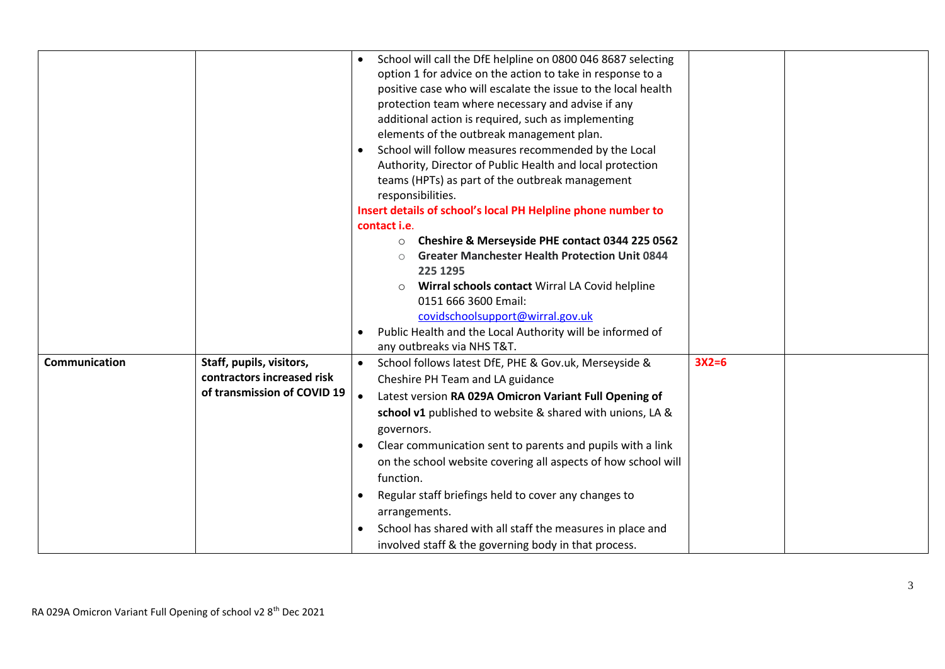|               |                             | School will call the DfE helpline on 0800 046 8687 selecting<br>option 1 for advice on the action to take in response to a<br>positive case who will escalate the issue to the local health<br>protection team where necessary and advise if any<br>additional action is required, such as implementing<br>elements of the outbreak management plan.<br>School will follow measures recommended by the Local<br>Authority, Director of Public Health and local protection |         |  |
|---------------|-----------------------------|---------------------------------------------------------------------------------------------------------------------------------------------------------------------------------------------------------------------------------------------------------------------------------------------------------------------------------------------------------------------------------------------------------------------------------------------------------------------------|---------|--|
|               |                             | teams (HPTs) as part of the outbreak management<br>responsibilities.                                                                                                                                                                                                                                                                                                                                                                                                      |         |  |
|               |                             | Insert details of school's local PH Helpline phone number to                                                                                                                                                                                                                                                                                                                                                                                                              |         |  |
|               |                             | contact <i>i.e.</i>                                                                                                                                                                                                                                                                                                                                                                                                                                                       |         |  |
|               |                             | Cheshire & Merseyside PHE contact 0344 225 0562<br>$\circ$                                                                                                                                                                                                                                                                                                                                                                                                                |         |  |
|               |                             | <b>Greater Manchester Health Protection Unit 0844</b>                                                                                                                                                                                                                                                                                                                                                                                                                     |         |  |
|               |                             | 225 1295                                                                                                                                                                                                                                                                                                                                                                                                                                                                  |         |  |
|               |                             | Wirral schools contact Wirral LA Covid helpline<br>$\circ$                                                                                                                                                                                                                                                                                                                                                                                                                |         |  |
|               |                             | 0151 666 3600 Email:                                                                                                                                                                                                                                                                                                                                                                                                                                                      |         |  |
|               |                             | covidschoolsupport@wirral.gov.uk                                                                                                                                                                                                                                                                                                                                                                                                                                          |         |  |
|               |                             | Public Health and the Local Authority will be informed of                                                                                                                                                                                                                                                                                                                                                                                                                 |         |  |
|               |                             | any outbreaks via NHS T&T.                                                                                                                                                                                                                                                                                                                                                                                                                                                |         |  |
| Communication | Staff, pupils, visitors,    | School follows latest DfE, PHE & Gov.uk, Merseyside &                                                                                                                                                                                                                                                                                                                                                                                                                     | $3X2=6$ |  |
|               | contractors increased risk  | Cheshire PH Team and LA guidance                                                                                                                                                                                                                                                                                                                                                                                                                                          |         |  |
|               | of transmission of COVID 19 | Latest version RA 029A Omicron Variant Full Opening of<br>$\bullet$                                                                                                                                                                                                                                                                                                                                                                                                       |         |  |
|               |                             | school v1 published to website & shared with unions, LA &                                                                                                                                                                                                                                                                                                                                                                                                                 |         |  |
|               |                             | governors.                                                                                                                                                                                                                                                                                                                                                                                                                                                                |         |  |
|               |                             | Clear communication sent to parents and pupils with a link                                                                                                                                                                                                                                                                                                                                                                                                                |         |  |
|               |                             | on the school website covering all aspects of how school will                                                                                                                                                                                                                                                                                                                                                                                                             |         |  |
|               |                             | function.                                                                                                                                                                                                                                                                                                                                                                                                                                                                 |         |  |
|               |                             | Regular staff briefings held to cover any changes to                                                                                                                                                                                                                                                                                                                                                                                                                      |         |  |
|               |                             | arrangements.                                                                                                                                                                                                                                                                                                                                                                                                                                                             |         |  |
|               |                             | School has shared with all staff the measures in place and                                                                                                                                                                                                                                                                                                                                                                                                                |         |  |
|               |                             | involved staff & the governing body in that process.                                                                                                                                                                                                                                                                                                                                                                                                                      |         |  |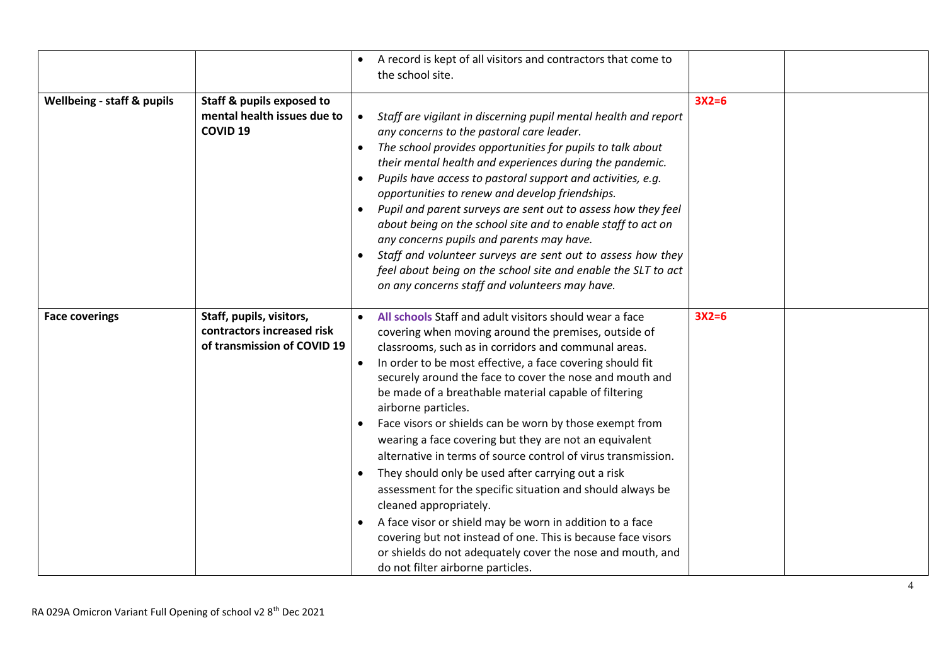|                                       |                                                                                       | A record is kept of all visitors and contractors that come to<br>the school site.                                                                                                                                                                                                                                                                                                                                                                                                                                                                                                                                                                                                                                                                                                                                                                                                                                                                   |         |  |
|---------------------------------------|---------------------------------------------------------------------------------------|-----------------------------------------------------------------------------------------------------------------------------------------------------------------------------------------------------------------------------------------------------------------------------------------------------------------------------------------------------------------------------------------------------------------------------------------------------------------------------------------------------------------------------------------------------------------------------------------------------------------------------------------------------------------------------------------------------------------------------------------------------------------------------------------------------------------------------------------------------------------------------------------------------------------------------------------------------|---------|--|
| <b>Wellbeing - staff &amp; pupils</b> | Staff & pupils exposed to<br>mental health issues due to<br><b>COVID 19</b>           | Staff are vigilant in discerning pupil mental health and report<br>$\bullet$<br>any concerns to the pastoral care leader.<br>The school provides opportunities for pupils to talk about<br>their mental health and experiences during the pandemic.<br>Pupils have access to pastoral support and activities, e.g.<br>opportunities to renew and develop friendships.<br>Pupil and parent surveys are sent out to assess how they feel<br>about being on the school site and to enable staff to act on<br>any concerns pupils and parents may have.<br>Staff and volunteer surveys are sent out to assess how they<br>feel about being on the school site and enable the SLT to act<br>on any concerns staff and volunteers may have.                                                                                                                                                                                                               | $3X2=6$ |  |
| <b>Face coverings</b>                 | Staff, pupils, visitors,<br>contractors increased risk<br>of transmission of COVID 19 | All schools Staff and adult visitors should wear a face<br>covering when moving around the premises, outside of<br>classrooms, such as in corridors and communal areas.<br>In order to be most effective, a face covering should fit<br>securely around the face to cover the nose and mouth and<br>be made of a breathable material capable of filtering<br>airborne particles.<br>Face visors or shields can be worn by those exempt from<br>wearing a face covering but they are not an equivalent<br>alternative in terms of source control of virus transmission.<br>They should only be used after carrying out a risk<br>assessment for the specific situation and should always be<br>cleaned appropriately.<br>A face visor or shield may be worn in addition to a face<br>covering but not instead of one. This is because face visors<br>or shields do not adequately cover the nose and mouth, and<br>do not filter airborne particles. | $3X2=6$ |  |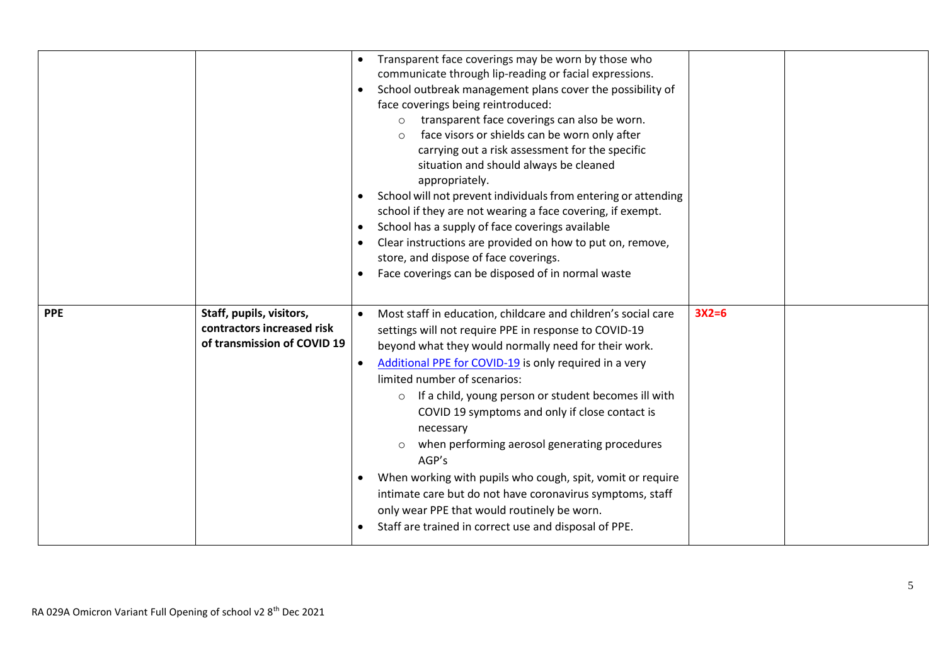|            |                                                                                       | Transparent face coverings may be worn by those who<br>communicate through lip-reading or facial expressions.<br>School outbreak management plans cover the possibility of<br>face coverings being reintroduced:<br>transparent face coverings can also be worn.<br>$\circ$<br>face visors or shields can be worn only after<br>$\Omega$<br>carrying out a risk assessment for the specific<br>situation and should always be cleaned<br>appropriately.<br>School will not prevent individuals from entering or attending<br>school if they are not wearing a face covering, if exempt.<br>School has a supply of face coverings available<br>Clear instructions are provided on how to put on, remove,<br>store, and dispose of face coverings.<br>Face coverings can be disposed of in normal waste |         |  |
|------------|---------------------------------------------------------------------------------------|-------------------------------------------------------------------------------------------------------------------------------------------------------------------------------------------------------------------------------------------------------------------------------------------------------------------------------------------------------------------------------------------------------------------------------------------------------------------------------------------------------------------------------------------------------------------------------------------------------------------------------------------------------------------------------------------------------------------------------------------------------------------------------------------------------|---------|--|
| <b>PPE</b> | Staff, pupils, visitors,<br>contractors increased risk<br>of transmission of COVID 19 | Most staff in education, childcare and children's social care<br>$\bullet$<br>settings will not require PPE in response to COVID-19<br>beyond what they would normally need for their work.<br>Additional PPE for COVID-19 is only required in a very<br>limited number of scenarios:<br>If a child, young person or student becomes ill with<br>$\circ$<br>COVID 19 symptoms and only if close contact is<br>necessary<br>when performing aerosol generating procedures<br>AGP's<br>When working with pupils who cough, spit, vomit or require<br>intimate care but do not have coronavirus symptoms, staff<br>only wear PPE that would routinely be worn.<br>Staff are trained in correct use and disposal of PPE.                                                                                  | $3X2=6$ |  |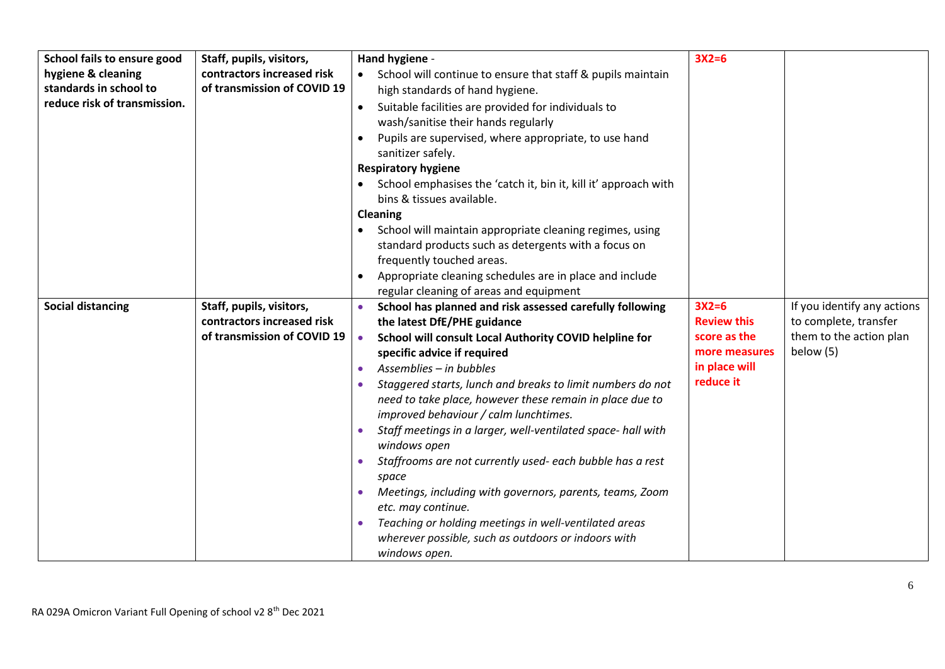| School fails to ensure good  | Staff, pupils, visitors,    | Hand hygiene -                                                                                               | $3X2=6$                    |                             |
|------------------------------|-----------------------------|--------------------------------------------------------------------------------------------------------------|----------------------------|-----------------------------|
| hygiene & cleaning           | contractors increased risk  | School will continue to ensure that staff & pupils maintain                                                  |                            |                             |
| standards in school to       | of transmission of COVID 19 | high standards of hand hygiene.                                                                              |                            |                             |
| reduce risk of transmission. |                             | Suitable facilities are provided for individuals to<br>$\bullet$                                             |                            |                             |
|                              |                             | wash/sanitise their hands regularly                                                                          |                            |                             |
|                              |                             | Pupils are supervised, where appropriate, to use hand<br>$\bullet$                                           |                            |                             |
|                              |                             | sanitizer safely.                                                                                            |                            |                             |
|                              |                             | <b>Respiratory hygiene</b>                                                                                   |                            |                             |
|                              |                             | School emphasises the 'catch it, bin it, kill it' approach with<br>$\bullet$                                 |                            |                             |
|                              |                             | bins & tissues available.                                                                                    |                            |                             |
|                              |                             | <b>Cleaning</b>                                                                                              |                            |                             |
|                              |                             | School will maintain appropriate cleaning regimes, using                                                     |                            |                             |
|                              |                             | standard products such as detergents with a focus on                                                         |                            |                             |
|                              |                             | frequently touched areas.                                                                                    |                            |                             |
|                              |                             | Appropriate cleaning schedules are in place and include                                                      |                            |                             |
|                              |                             | regular cleaning of areas and equipment                                                                      |                            |                             |
| <b>Social distancing</b>     | Staff, pupils, visitors,    | School has planned and risk assessed carefully following                                                     | $3X2=6$                    | If you identify any actions |
|                              | contractors increased risk  | the latest DfE/PHE guidance                                                                                  | <b>Review this</b>         | to complete, transfer       |
|                              | of transmission of COVID 19 | School will consult Local Authority COVID helpline for<br>$\bullet$                                          | score as the               | them to the action plan     |
|                              |                             | specific advice if required                                                                                  | more measures              | below (5)                   |
|                              |                             | Assemblies - in bubbles<br>$\bullet$                                                                         | in place will<br>reduce it |                             |
|                              |                             | Staggered starts, lunch and breaks to limit numbers do not                                                   |                            |                             |
|                              |                             | need to take place, however these remain in place due to                                                     |                            |                             |
|                              |                             | improved behaviour / calm lunchtimes.                                                                        |                            |                             |
|                              |                             | Staff meetings in a larger, well-ventilated space- hall with                                                 |                            |                             |
|                              |                             | windows open                                                                                                 |                            |                             |
|                              |                             | Staffrooms are not currently used- each bubble has a rest                                                    |                            |                             |
|                              |                             | space                                                                                                        |                            |                             |
|                              |                             | Meetings, including with governors, parents, teams, Zoom<br>$\bullet$<br>etc. may continue.                  |                            |                             |
|                              |                             |                                                                                                              |                            |                             |
|                              |                             | Teaching or holding meetings in well-ventilated areas<br>wherever possible, such as outdoors or indoors with |                            |                             |
|                              |                             |                                                                                                              |                            |                             |
|                              |                             | windows open.                                                                                                |                            |                             |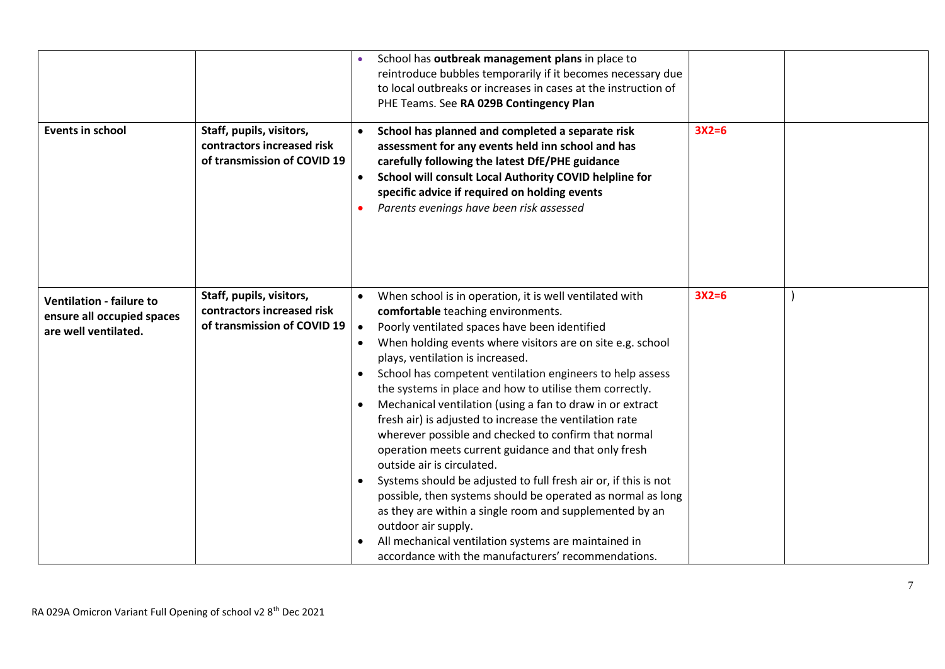|                                                    |                             |           | School has outbreak management plans in place to                |         |  |
|----------------------------------------------------|-----------------------------|-----------|-----------------------------------------------------------------|---------|--|
|                                                    |                             |           | reintroduce bubbles temporarily if it becomes necessary due     |         |  |
|                                                    |                             |           | to local outbreaks or increases in cases at the instruction of  |         |  |
|                                                    |                             |           | PHE Teams. See RA 029B Contingency Plan                         |         |  |
| <b>Events in school</b>                            | Staff, pupils, visitors,    |           | School has planned and completed a separate risk                | $3X2=6$ |  |
|                                                    | contractors increased risk  |           | assessment for any events held inn school and has               |         |  |
|                                                    | of transmission of COVID 19 |           | carefully following the latest DfE/PHE guidance                 |         |  |
|                                                    |                             | $\bullet$ | School will consult Local Authority COVID helpline for          |         |  |
|                                                    |                             |           | specific advice if required on holding events                   |         |  |
|                                                    |                             |           | Parents evenings have been risk assessed                        |         |  |
|                                                    |                             |           |                                                                 |         |  |
|                                                    |                             |           |                                                                 |         |  |
|                                                    |                             |           |                                                                 |         |  |
|                                                    |                             |           |                                                                 |         |  |
|                                                    |                             |           |                                                                 |         |  |
| <b>Ventilation - failure to</b>                    | Staff, pupils, visitors,    | $\bullet$ | When school is in operation, it is well ventilated with         | $3X2=6$ |  |
|                                                    | contractors increased risk  |           | comfortable teaching environments.                              |         |  |
| ensure all occupied spaces<br>are well ventilated. | of transmission of COVID 19 | $\bullet$ | Poorly ventilated spaces have been identified                   |         |  |
|                                                    |                             |           | When holding events where visitors are on site e.g. school      |         |  |
|                                                    |                             |           | plays, ventilation is increased.                                |         |  |
|                                                    |                             | $\bullet$ | School has competent ventilation engineers to help assess       |         |  |
|                                                    |                             |           | the systems in place and how to utilise them correctly.         |         |  |
|                                                    |                             |           |                                                                 |         |  |
|                                                    |                             | $\bullet$ | Mechanical ventilation (using a fan to draw in or extract       |         |  |
|                                                    |                             |           | fresh air) is adjusted to increase the ventilation rate         |         |  |
|                                                    |                             |           | wherever possible and checked to confirm that normal            |         |  |
|                                                    |                             |           | operation meets current guidance and that only fresh            |         |  |
|                                                    |                             |           | outside air is circulated.                                      |         |  |
|                                                    |                             |           | Systems should be adjusted to full fresh air or, if this is not |         |  |
|                                                    |                             |           | possible, then systems should be operated as normal as long     |         |  |
|                                                    |                             |           | as they are within a single room and supplemented by an         |         |  |
|                                                    |                             |           | outdoor air supply.                                             |         |  |
|                                                    |                             |           | All mechanical ventilation systems are maintained in            |         |  |
|                                                    |                             |           | accordance with the manufacturers' recommendations.             |         |  |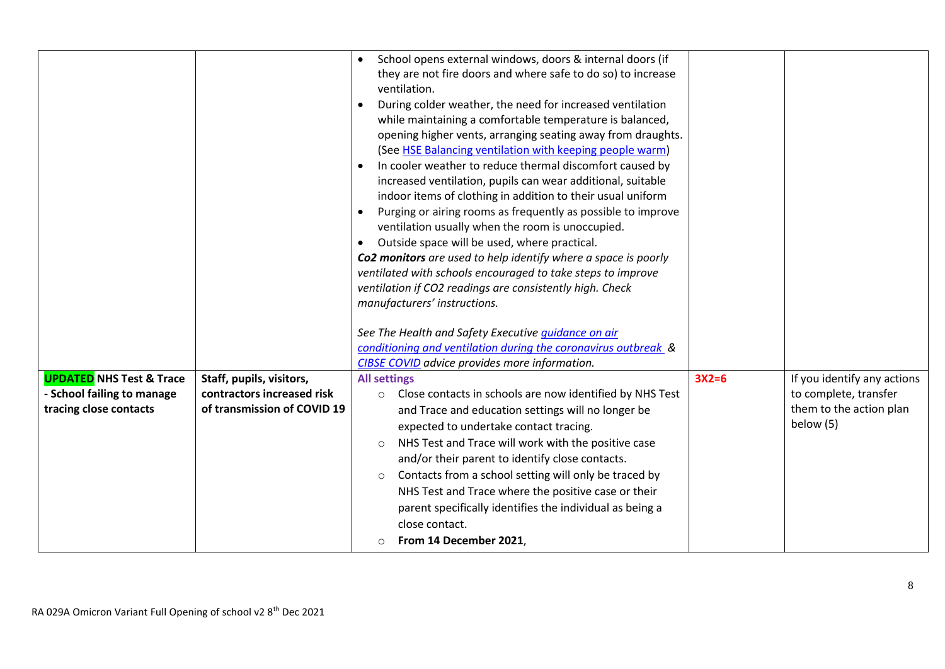|                                                      |                                                           | School opens external windows, doors & internal doors (if<br>they are not fire doors and where safe to do so) to increase<br>ventilation.<br>During colder weather, the need for increased ventilation<br>while maintaining a comfortable temperature is balanced,<br>opening higher vents, arranging seating away from draughts.<br>(See HSE Balancing ventilation with keeping people warm)<br>In cooler weather to reduce thermal discomfort caused by<br>increased ventilation, pupils can wear additional, suitable<br>indoor items of clothing in addition to their usual uniform<br>Purging or airing rooms as frequently as possible to improve<br>ventilation usually when the room is unoccupied.<br>Outside space will be used, where practical.<br>Co2 monitors are used to help identify where a space is poorly<br>ventilated with schools encouraged to take steps to improve<br>ventilation if CO2 readings are consistently high. Check<br>manufacturers' instructions.<br>See The Health and Safety Executive guidance on air<br>conditioning and ventilation during the coronavirus outbreak &<br>CIBSE COVID advice provides more information. |         |                                                               |
|------------------------------------------------------|-----------------------------------------------------------|--------------------------------------------------------------------------------------------------------------------------------------------------------------------------------------------------------------------------------------------------------------------------------------------------------------------------------------------------------------------------------------------------------------------------------------------------------------------------------------------------------------------------------------------------------------------------------------------------------------------------------------------------------------------------------------------------------------------------------------------------------------------------------------------------------------------------------------------------------------------------------------------------------------------------------------------------------------------------------------------------------------------------------------------------------------------------------------------------------------------------------------------------------------------|---------|---------------------------------------------------------------|
| <b>UPDATED NHS Test &amp; Trace</b>                  | Staff, pupils, visitors,                                  | <b>All settings</b>                                                                                                                                                                                                                                                                                                                                                                                                                                                                                                                                                                                                                                                                                                                                                                                                                                                                                                                                                                                                                                                                                                                                                | $3X2=6$ | If you identify any actions                                   |
|                                                      |                                                           |                                                                                                                                                                                                                                                                                                                                                                                                                                                                                                                                                                                                                                                                                                                                                                                                                                                                                                                                                                                                                                                                                                                                                                    |         |                                                               |
| - School failing to manage<br>tracing close contacts | contractors increased risk<br>of transmission of COVID 19 | Close contacts in schools are now identified by NHS Test<br>$\circ$<br>and Trace and education settings will no longer be<br>expected to undertake contact tracing.<br>NHS Test and Trace will work with the positive case<br>$\circ$<br>and/or their parent to identify close contacts.<br>Contacts from a school setting will only be traced by<br>$\circ$<br>NHS Test and Trace where the positive case or their<br>parent specifically identifies the individual as being a<br>close contact.<br>From 14 December 2021,                                                                                                                                                                                                                                                                                                                                                                                                                                                                                                                                                                                                                                        |         | to complete, transfer<br>them to the action plan<br>below (5) |
|                                                      |                                                           |                                                                                                                                                                                                                                                                                                                                                                                                                                                                                                                                                                                                                                                                                                                                                                                                                                                                                                                                                                                                                                                                                                                                                                    |         |                                                               |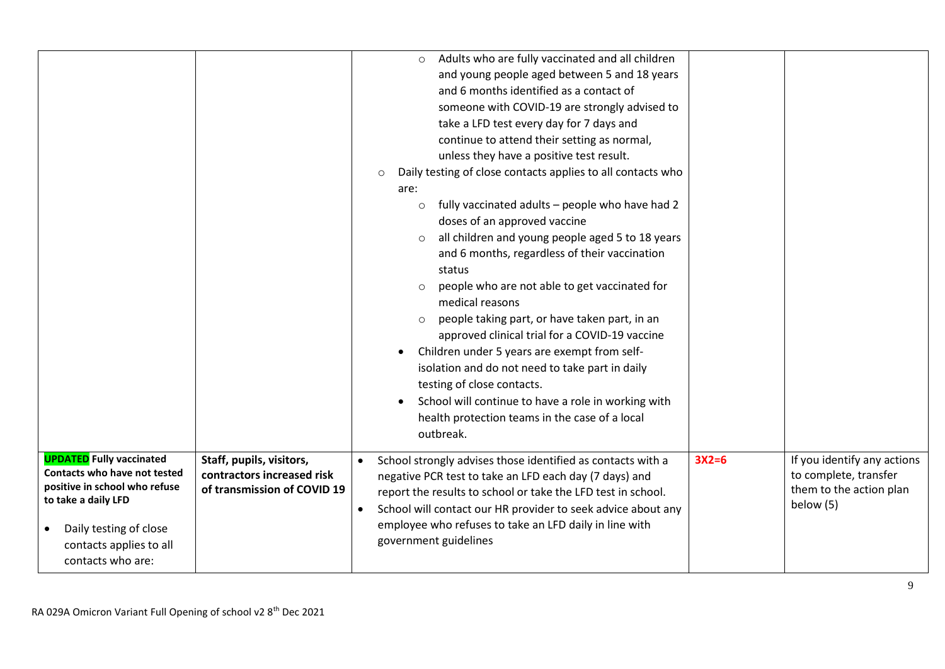|                                                                                                                                                                                                   |                                                                                       | Adults who are fully vaccinated and all children<br>$\circ$<br>and young people aged between 5 and 18 years<br>and 6 months identified as a contact of<br>someone with COVID-19 are strongly advised to<br>take a LFD test every day for 7 days and<br>continue to attend their setting as normal,<br>unless they have a positive test result.<br>Daily testing of close contacts applies to all contacts who<br>$\circ$<br>are:<br>fully vaccinated adults - people who have had 2<br>$\circ$<br>doses of an approved vaccine<br>all children and young people aged 5 to 18 years<br>$\circ$<br>and 6 months, regardless of their vaccination<br>status<br>people who are not able to get vaccinated for<br>$\circ$<br>medical reasons<br>people taking part, or have taken part, in an<br>$\circ$<br>approved clinical trial for a COVID-19 vaccine<br>Children under 5 years are exempt from self-<br>$\bullet$<br>isolation and do not need to take part in daily<br>testing of close contacts.<br>School will continue to have a role in working with<br>$\bullet$<br>health protection teams in the case of a local<br>outbreak. |         |                                                                                              |
|---------------------------------------------------------------------------------------------------------------------------------------------------------------------------------------------------|---------------------------------------------------------------------------------------|----------------------------------------------------------------------------------------------------------------------------------------------------------------------------------------------------------------------------------------------------------------------------------------------------------------------------------------------------------------------------------------------------------------------------------------------------------------------------------------------------------------------------------------------------------------------------------------------------------------------------------------------------------------------------------------------------------------------------------------------------------------------------------------------------------------------------------------------------------------------------------------------------------------------------------------------------------------------------------------------------------------------------------------------------------------------------------------------------------------------------------------|---------|----------------------------------------------------------------------------------------------|
| <b>UPDATED</b> Fully vaccinated<br>Contacts who have not tested<br>positive in school who refuse<br>to take a daily LFD<br>Daily testing of close<br>contacts applies to all<br>contacts who are: | Staff, pupils, visitors,<br>contractors increased risk<br>of transmission of COVID 19 | School strongly advises those identified as contacts with a<br>negative PCR test to take an LFD each day (7 days) and<br>report the results to school or take the LFD test in school.<br>School will contact our HR provider to seek advice about any<br>employee who refuses to take an LFD daily in line with<br>government guidelines                                                                                                                                                                                                                                                                                                                                                                                                                                                                                                                                                                                                                                                                                                                                                                                               | $3X2=6$ | If you identify any actions<br>to complete, transfer<br>them to the action plan<br>below (5) |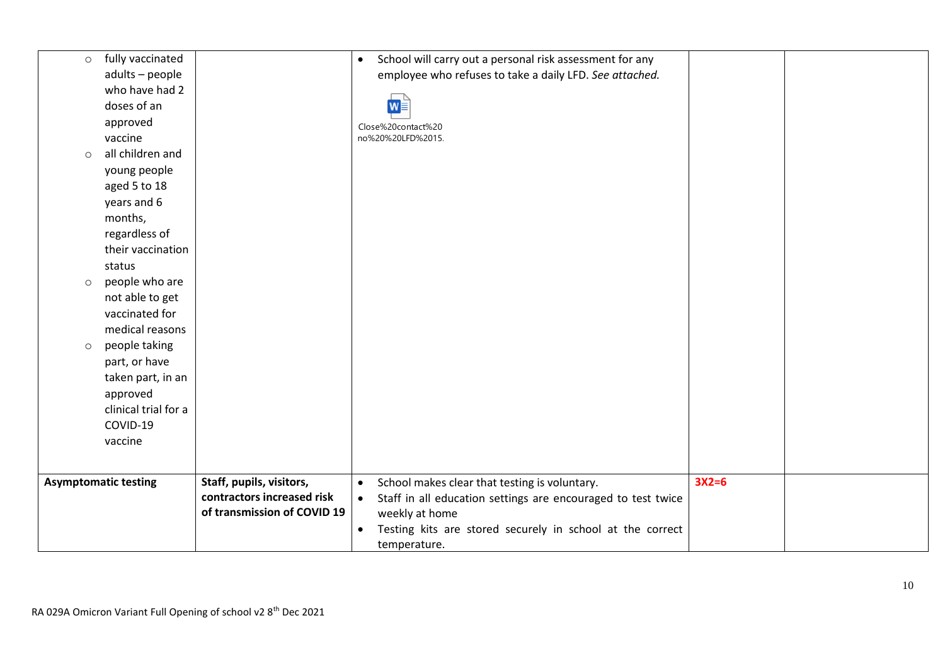| $\circ$ | fully vaccinated            |                             | School will carry out a personal risk assessment for any<br>$\bullet$     |         |  |
|---------|-----------------------------|-----------------------------|---------------------------------------------------------------------------|---------|--|
|         | adults - people             |                             | employee who refuses to take a daily LFD. See attached.                   |         |  |
|         | who have had 2              |                             |                                                                           |         |  |
|         | doses of an                 |                             | $w \equiv$                                                                |         |  |
|         | approved                    |                             | Close%20contact%20                                                        |         |  |
|         | vaccine                     |                             | no%20%20LFD%2015                                                          |         |  |
| $\circ$ | all children and            |                             |                                                                           |         |  |
|         | young people                |                             |                                                                           |         |  |
|         | aged 5 to 18                |                             |                                                                           |         |  |
|         | years and 6                 |                             |                                                                           |         |  |
|         | months,                     |                             |                                                                           |         |  |
|         | regardless of               |                             |                                                                           |         |  |
|         | their vaccination           |                             |                                                                           |         |  |
|         | status                      |                             |                                                                           |         |  |
| $\circ$ | people who are              |                             |                                                                           |         |  |
|         | not able to get             |                             |                                                                           |         |  |
|         | vaccinated for              |                             |                                                                           |         |  |
|         | medical reasons             |                             |                                                                           |         |  |
| $\circ$ | people taking               |                             |                                                                           |         |  |
|         | part, or have               |                             |                                                                           |         |  |
|         | taken part, in an           |                             |                                                                           |         |  |
|         | approved                    |                             |                                                                           |         |  |
|         | clinical trial for a        |                             |                                                                           |         |  |
|         | COVID-19                    |                             |                                                                           |         |  |
|         | vaccine                     |                             |                                                                           |         |  |
|         |                             |                             |                                                                           |         |  |
|         | <b>Asymptomatic testing</b> | Staff, pupils, visitors,    | School makes clear that testing is voluntary.<br>$\bullet$                | $3X2=6$ |  |
|         |                             | contractors increased risk  | Staff in all education settings are encouraged to test twice<br>$\bullet$ |         |  |
|         |                             | of transmission of COVID 19 | weekly at home                                                            |         |  |
|         |                             |                             | Testing kits are stored securely in school at the correct<br>$\bullet$    |         |  |
|         |                             |                             | temperature.                                                              |         |  |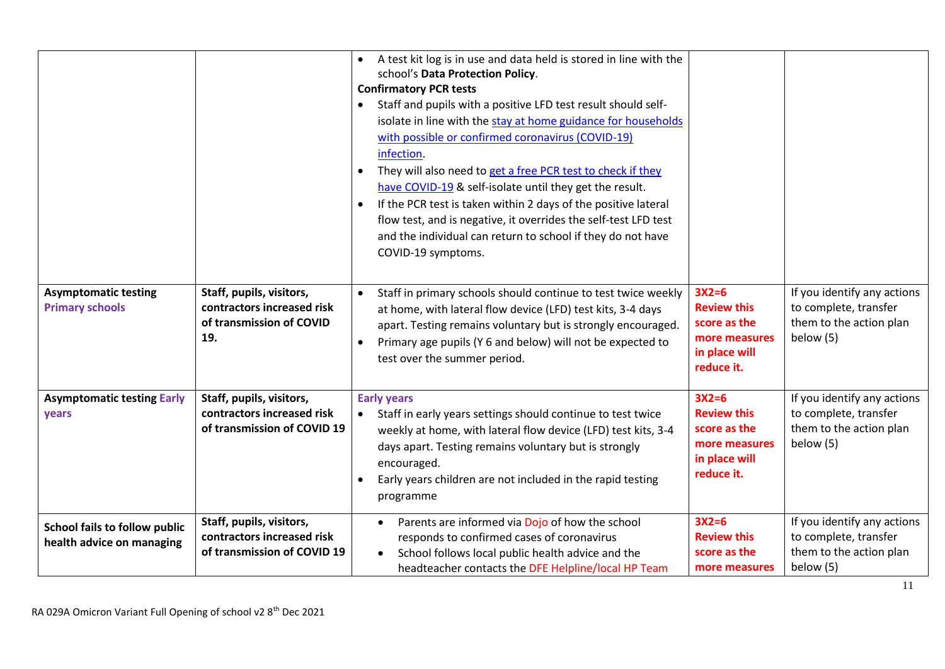|                                                            |                                                                                           | A test kit log is in use and data held is stored in line with the<br>school's Data Protection Policy.<br><b>Confirmatory PCR tests</b><br>Staff and pupils with a positive LFD test result should self-<br>isolate in line with the stay at home guidance for households<br>with possible or confirmed coronavirus (COVID-19)<br>infection.<br>They will also need to get a free PCR test to check if they<br>$\bullet$<br>have COVID-19 & self-isolate until they get the result.<br>If the PCR test is taken within 2 days of the positive lateral<br>flow test, and is negative, it overrides the self-test LFD test<br>and the individual can return to school if they do not have<br>COVID-19 symptoms. |                                                                                               |                                                                                              |
|------------------------------------------------------------|-------------------------------------------------------------------------------------------|--------------------------------------------------------------------------------------------------------------------------------------------------------------------------------------------------------------------------------------------------------------------------------------------------------------------------------------------------------------------------------------------------------------------------------------------------------------------------------------------------------------------------------------------------------------------------------------------------------------------------------------------------------------------------------------------------------------|-----------------------------------------------------------------------------------------------|----------------------------------------------------------------------------------------------|
| <b>Asymptomatic testing</b><br><b>Primary schools</b>      | Staff, pupils, visitors,<br>contractors increased risk<br>of transmission of COVID<br>19. | Staff in primary schools should continue to test twice weekly<br>$\bullet$<br>at home, with lateral flow device (LFD) test kits, 3-4 days<br>apart. Testing remains voluntary but is strongly encouraged.<br>Primary age pupils (Y 6 and below) will not be expected to<br>$\bullet$<br>test over the summer period.                                                                                                                                                                                                                                                                                                                                                                                         | $3X2=6$<br><b>Review this</b><br>score as the<br>more measures<br>in place will<br>reduce it. | If you identify any actions<br>to complete, transfer<br>them to the action plan<br>below (5) |
| <b>Asymptomatic testing Early</b><br>years                 | Staff, pupils, visitors,<br>contractors increased risk<br>of transmission of COVID 19     | <b>Early years</b><br>Staff in early years settings should continue to test twice<br>$\bullet$<br>weekly at home, with lateral flow device (LFD) test kits, 3-4<br>days apart. Testing remains voluntary but is strongly<br>encouraged.<br>Early years children are not included in the rapid testing<br>programme                                                                                                                                                                                                                                                                                                                                                                                           | $3X2=6$<br><b>Review this</b><br>score as the<br>more measures<br>in place will<br>reduce it. | If you identify any actions<br>to complete, transfer<br>them to the action plan<br>below (5) |
| School fails to follow public<br>health advice on managing | Staff, pupils, visitors,<br>contractors increased risk<br>of transmission of COVID 19     | Parents are informed via Dojo of how the school<br>responds to confirmed cases of coronavirus<br>School follows local public health advice and the<br>$\bullet$<br>headteacher contacts the DFE Helpline/local HP Team                                                                                                                                                                                                                                                                                                                                                                                                                                                                                       | $3X2=6$<br><b>Review this</b><br>score as the<br>more measures                                | If you identify any actions<br>to complete, transfer<br>them to the action plan<br>below (5) |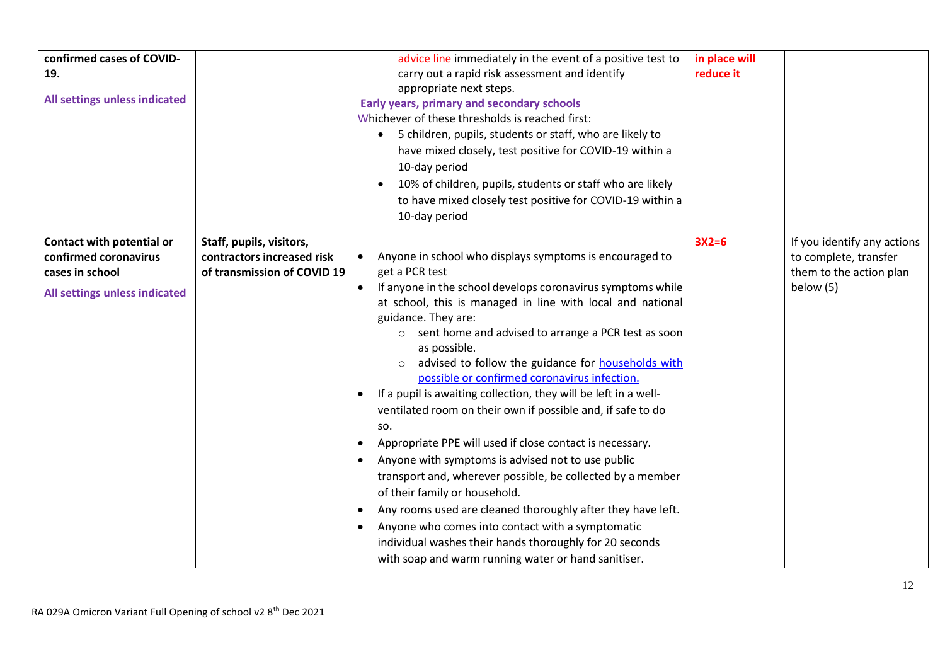| confirmed cases of COVID-<br>19.<br>All settings unless indicated                                      |                                                                                       | advice line immediately in the event of a positive test to<br>carry out a rapid risk assessment and identify<br>appropriate next steps.<br>Early years, primary and secondary schools<br>Whichever of these thresholds is reached first:<br>5 children, pupils, students or staff, who are likely to<br>have mixed closely, test positive for COVID-19 within a<br>10-day period<br>10% of children, pupils, students or staff who are likely<br>to have mixed closely test positive for COVID-19 within a<br>10-day period                                                                                                                                                                                                                                                                                                                                                                                                                                                                                                                 | in place will<br>reduce it |                                                                                              |
|--------------------------------------------------------------------------------------------------------|---------------------------------------------------------------------------------------|---------------------------------------------------------------------------------------------------------------------------------------------------------------------------------------------------------------------------------------------------------------------------------------------------------------------------------------------------------------------------------------------------------------------------------------------------------------------------------------------------------------------------------------------------------------------------------------------------------------------------------------------------------------------------------------------------------------------------------------------------------------------------------------------------------------------------------------------------------------------------------------------------------------------------------------------------------------------------------------------------------------------------------------------|----------------------------|----------------------------------------------------------------------------------------------|
| Contact with potential or<br>confirmed coronavirus<br>cases in school<br>All settings unless indicated | Staff, pupils, visitors,<br>contractors increased risk<br>of transmission of COVID 19 | Anyone in school who displays symptoms is encouraged to<br>get a PCR test<br>If anyone in the school develops coronavirus symptoms while<br>$\bullet$<br>at school, this is managed in line with local and national<br>guidance. They are:<br>sent home and advised to arrange a PCR test as soon<br>$\circ$<br>as possible.<br>advised to follow the guidance for households with<br>$\circ$<br>possible or confirmed coronavirus infection.<br>If a pupil is awaiting collection, they will be left in a well-<br>ventilated room on their own if possible and, if safe to do<br>SO.<br>Appropriate PPE will used if close contact is necessary.<br>Anyone with symptoms is advised not to use public<br>transport and, wherever possible, be collected by a member<br>of their family or household.<br>Any rooms used are cleaned thoroughly after they have left.<br>Anyone who comes into contact with a symptomatic<br>individual washes their hands thoroughly for 20 seconds<br>with soap and warm running water or hand sanitiser. | $3X2=6$                    | If you identify any actions<br>to complete, transfer<br>them to the action plan<br>below (5) |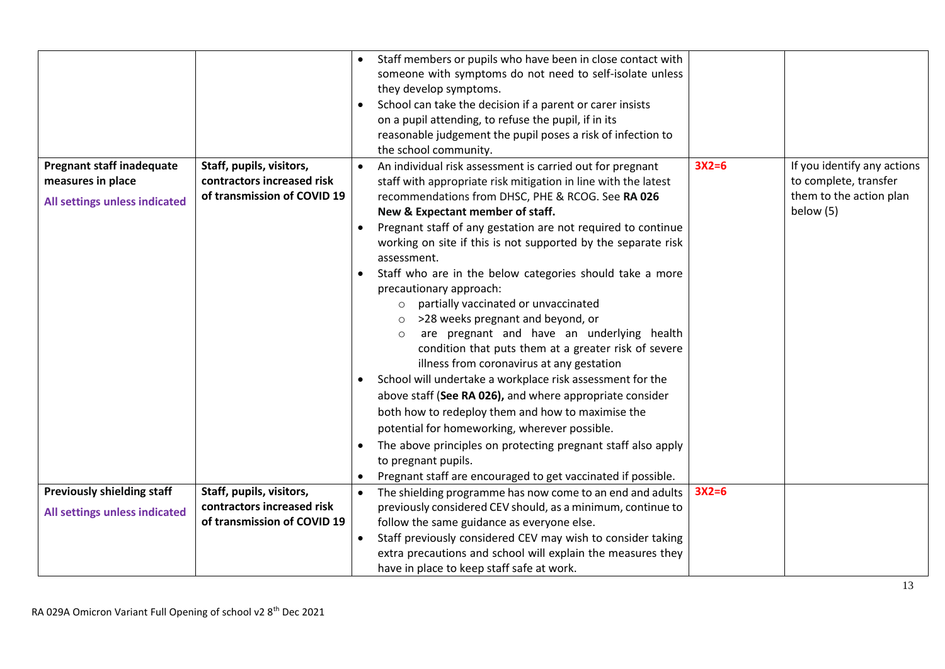|                                   |                             |           | Staff members or pupils who have been in close contact with<br>someone with symptoms do not need to self-isolate unless<br>they develop symptoms.<br>School can take the decision if a parent or carer insists<br>on a pupil attending, to refuse the pupil, if in its<br>reasonable judgement the pupil poses a risk of infection to<br>the school community.                                                                                                                                                                                                                                                                                                                                                                                                                                                                                                                                                      |         |                             |
|-----------------------------------|-----------------------------|-----------|---------------------------------------------------------------------------------------------------------------------------------------------------------------------------------------------------------------------------------------------------------------------------------------------------------------------------------------------------------------------------------------------------------------------------------------------------------------------------------------------------------------------------------------------------------------------------------------------------------------------------------------------------------------------------------------------------------------------------------------------------------------------------------------------------------------------------------------------------------------------------------------------------------------------|---------|-----------------------------|
| <b>Pregnant staff inadequate</b>  | Staff, pupils, visitors,    |           | An individual risk assessment is carried out for pregnant                                                                                                                                                                                                                                                                                                                                                                                                                                                                                                                                                                                                                                                                                                                                                                                                                                                           | $3X2=6$ | If you identify any actions |
| measures in place                 | contractors increased risk  |           | staff with appropriate risk mitigation in line with the latest                                                                                                                                                                                                                                                                                                                                                                                                                                                                                                                                                                                                                                                                                                                                                                                                                                                      |         | to complete, transfer       |
| All settings unless indicated     | of transmission of COVID 19 |           | recommendations from DHSC, PHE & RCOG. See RA 026                                                                                                                                                                                                                                                                                                                                                                                                                                                                                                                                                                                                                                                                                                                                                                                                                                                                   |         | them to the action plan     |
|                                   |                             | $\bullet$ | New & Expectant member of staff.<br>Pregnant staff of any gestation are not required to continue<br>working on site if this is not supported by the separate risk<br>assessment.<br>Staff who are in the below categories should take a more<br>precautionary approach:<br>partially vaccinated or unvaccinated<br>$\circ$<br>>28 weeks pregnant and beyond, or<br>are pregnant and have an underlying health<br>$\circ$<br>condition that puts them at a greater risk of severe<br>illness from coronavirus at any gestation<br>School will undertake a workplace risk assessment for the<br>above staff (See RA 026), and where appropriate consider<br>both how to redeploy them and how to maximise the<br>potential for homeworking, wherever possible.<br>The above principles on protecting pregnant staff also apply<br>to pregnant pupils.<br>Pregnant staff are encouraged to get vaccinated if possible. |         | below (5)                   |
| <b>Previously shielding staff</b> | Staff, pupils, visitors,    | $\bullet$ | The shielding programme has now come to an end and adults                                                                                                                                                                                                                                                                                                                                                                                                                                                                                                                                                                                                                                                                                                                                                                                                                                                           | $3X2=6$ |                             |
| All settings unless indicated     | contractors increased risk  |           | previously considered CEV should, as a minimum, continue to                                                                                                                                                                                                                                                                                                                                                                                                                                                                                                                                                                                                                                                                                                                                                                                                                                                         |         |                             |
|                                   | of transmission of COVID 19 |           | follow the same guidance as everyone else.                                                                                                                                                                                                                                                                                                                                                                                                                                                                                                                                                                                                                                                                                                                                                                                                                                                                          |         |                             |
|                                   |                             | $\bullet$ | Staff previously considered CEV may wish to consider taking                                                                                                                                                                                                                                                                                                                                                                                                                                                                                                                                                                                                                                                                                                                                                                                                                                                         |         |                             |
|                                   |                             |           | extra precautions and school will explain the measures they                                                                                                                                                                                                                                                                                                                                                                                                                                                                                                                                                                                                                                                                                                                                                                                                                                                         |         |                             |
|                                   |                             |           | have in place to keep staff safe at work.                                                                                                                                                                                                                                                                                                                                                                                                                                                                                                                                                                                                                                                                                                                                                                                                                                                                           |         |                             |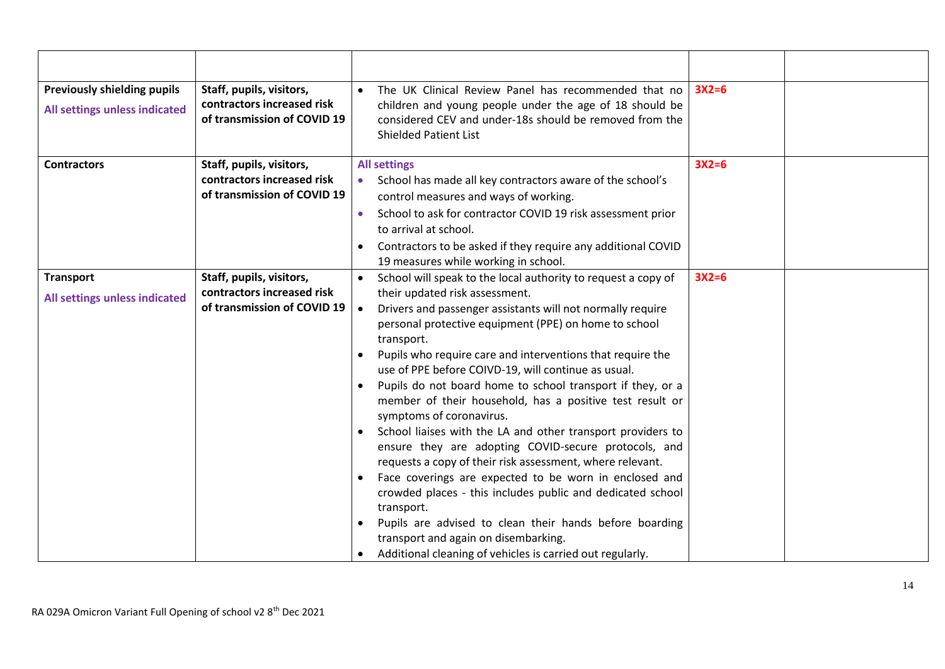| <b>Previously shielding pupils</b><br>All settings unless indicated | Staff, pupils, visitors,<br>contractors increased risk<br>of transmission of COVID 19 | The UK Clinical Review Panel has recommended that no<br>children and young people under the age of 18 should be<br>considered CEV and under-18s should be removed from the<br><b>Shielded Patient List</b>                                                                                                                                                                                                                                                                                                                                                                                                                                                                                                                                                                                                                                                                                                                                                                                                             | $3X2=6$ |  |
|---------------------------------------------------------------------|---------------------------------------------------------------------------------------|------------------------------------------------------------------------------------------------------------------------------------------------------------------------------------------------------------------------------------------------------------------------------------------------------------------------------------------------------------------------------------------------------------------------------------------------------------------------------------------------------------------------------------------------------------------------------------------------------------------------------------------------------------------------------------------------------------------------------------------------------------------------------------------------------------------------------------------------------------------------------------------------------------------------------------------------------------------------------------------------------------------------|---------|--|
| <b>Contractors</b>                                                  | Staff, pupils, visitors,<br>contractors increased risk<br>of transmission of COVID 19 | <b>All settings</b><br>School has made all key contractors aware of the school's<br>control measures and ways of working.<br>School to ask for contractor COVID 19 risk assessment prior<br>to arrival at school.<br>Contractors to be asked if they require any additional COVID<br>19 measures while working in school.                                                                                                                                                                                                                                                                                                                                                                                                                                                                                                                                                                                                                                                                                              | $3X2=6$ |  |
| <b>Transport</b><br>All settings unless indicated                   | Staff, pupils, visitors,<br>contractors increased risk<br>of transmission of COVID 19 | School will speak to the local authority to request a copy of<br>their updated risk assessment.<br>Drivers and passenger assistants will not normally require<br>$\bullet$<br>personal protective equipment (PPE) on home to school<br>transport.<br>Pupils who require care and interventions that require the<br>use of PPE before COIVD-19, will continue as usual.<br>Pupils do not board home to school transport if they, or a<br>member of their household, has a positive test result or<br>symptoms of coronavirus.<br>School liaises with the LA and other transport providers to<br>ensure they are adopting COVID-secure protocols, and<br>requests a copy of their risk assessment, where relevant.<br>Face coverings are expected to be worn in enclosed and<br>crowded places - this includes public and dedicated school<br>transport.<br>Pupils are advised to clean their hands before boarding<br>transport and again on disembarking.<br>Additional cleaning of vehicles is carried out regularly. | $3X2=6$ |  |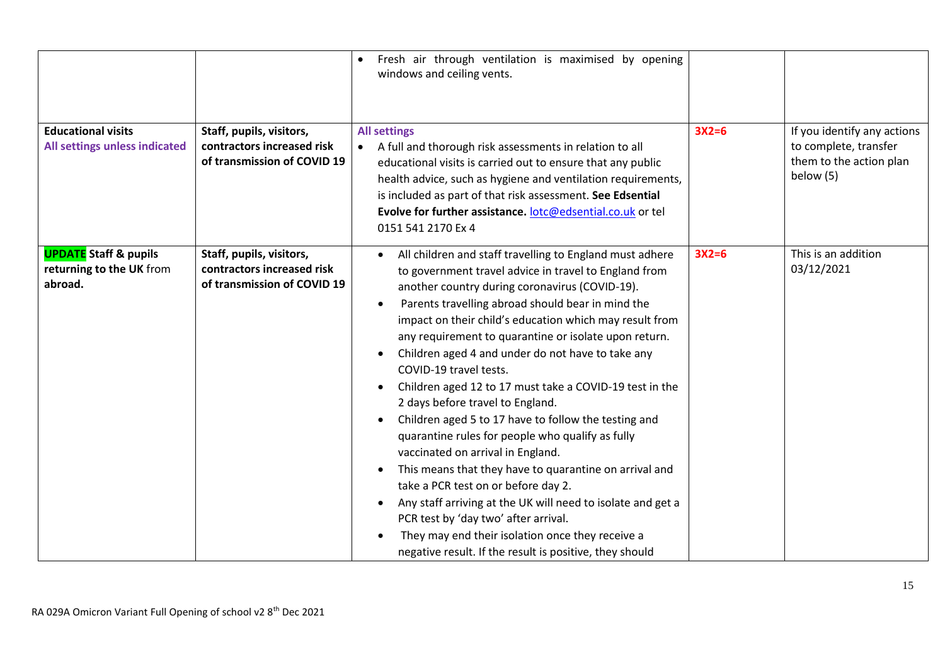| <b>Educational visits</b><br>All settings unless indicated          | Staff, pupils, visitors,<br>contractors increased risk<br>of transmission of COVID 19 | Fresh air through ventilation is maximised by opening<br>windows and ceiling vents.<br><b>All settings</b><br>A full and thorough risk assessments in relation to all<br>educational visits is carried out to ensure that any public<br>health advice, such as hygiene and ventilation requirements,<br>is included as part of that risk assessment. See Edsential<br>Evolve for further assistance. lotc@edsential.co.uk or tel<br>0151 541 2170 Ex 4                                                                                                                                                                                                                                                                                                                                                                                                                                                                                                                                                                       | $3X2=6$ | If you identify any actions<br>to complete, transfer<br>them to the action plan<br>below (5) |
|---------------------------------------------------------------------|---------------------------------------------------------------------------------------|------------------------------------------------------------------------------------------------------------------------------------------------------------------------------------------------------------------------------------------------------------------------------------------------------------------------------------------------------------------------------------------------------------------------------------------------------------------------------------------------------------------------------------------------------------------------------------------------------------------------------------------------------------------------------------------------------------------------------------------------------------------------------------------------------------------------------------------------------------------------------------------------------------------------------------------------------------------------------------------------------------------------------|---------|----------------------------------------------------------------------------------------------|
| <b>UPDATE</b> Staff & pupils<br>returning to the UK from<br>abroad. | Staff, pupils, visitors,<br>contractors increased risk<br>of transmission of COVID 19 | All children and staff travelling to England must adhere<br>to government travel advice in travel to England from<br>another country during coronavirus (COVID-19).<br>Parents travelling abroad should bear in mind the<br>$\bullet$<br>impact on their child's education which may result from<br>any requirement to quarantine or isolate upon return.<br>Children aged 4 and under do not have to take any<br>$\bullet$<br>COVID-19 travel tests.<br>Children aged 12 to 17 must take a COVID-19 test in the<br>2 days before travel to England.<br>Children aged 5 to 17 have to follow the testing and<br>quarantine rules for people who qualify as fully<br>vaccinated on arrival in England.<br>This means that they have to quarantine on arrival and<br>take a PCR test on or before day 2.<br>Any staff arriving at the UK will need to isolate and get a<br>PCR test by 'day two' after arrival.<br>They may end their isolation once they receive a<br>negative result. If the result is positive, they should | $3X2=6$ | This is an addition<br>03/12/2021                                                            |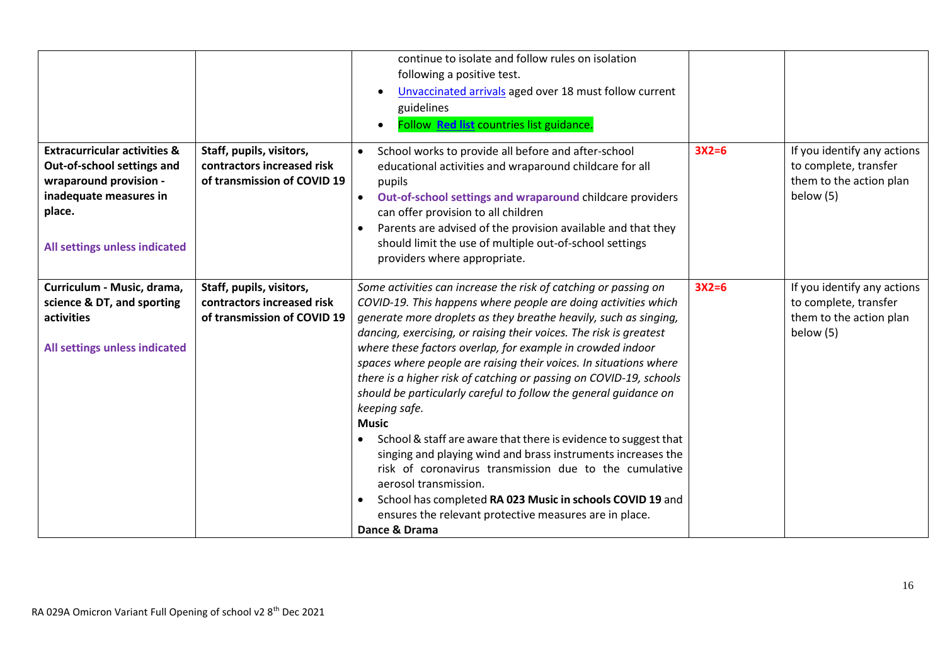|                                                                                                                                                                      |                                                                                       | continue to isolate and follow rules on isolation<br>following a positive test.<br>Unvaccinated arrivals aged over 18 must follow current<br>guidelines<br>Follow Red list countries list guidance.                                                                                                                                                                                                                                                                                                                                                                                                                                                                                                                                                                                                                                                                                                                                                                  |         |                                                                                              |
|----------------------------------------------------------------------------------------------------------------------------------------------------------------------|---------------------------------------------------------------------------------------|----------------------------------------------------------------------------------------------------------------------------------------------------------------------------------------------------------------------------------------------------------------------------------------------------------------------------------------------------------------------------------------------------------------------------------------------------------------------------------------------------------------------------------------------------------------------------------------------------------------------------------------------------------------------------------------------------------------------------------------------------------------------------------------------------------------------------------------------------------------------------------------------------------------------------------------------------------------------|---------|----------------------------------------------------------------------------------------------|
| <b>Extracurricular activities &amp;</b><br>Out-of-school settings and<br>wraparound provision -<br>inadequate measures in<br>place.<br>All settings unless indicated | Staff, pupils, visitors,<br>contractors increased risk<br>of transmission of COVID 19 | School works to provide all before and after-school<br>$\bullet$<br>educational activities and wraparound childcare for all<br>pupils<br>Out-of-school settings and wraparound childcare providers<br>can offer provision to all children<br>Parents are advised of the provision available and that they<br>should limit the use of multiple out-of-school settings<br>providers where appropriate.                                                                                                                                                                                                                                                                                                                                                                                                                                                                                                                                                                 | $3X2=6$ | If you identify any actions<br>to complete, transfer<br>them to the action plan<br>below (5) |
| Curriculum - Music, drama,<br>science & DT, and sporting<br>activities<br>All settings unless indicated                                                              | Staff, pupils, visitors,<br>contractors increased risk<br>of transmission of COVID 19 | Some activities can increase the risk of catching or passing on<br>COVID-19. This happens where people are doing activities which<br>generate more droplets as they breathe heavily, such as singing,<br>dancing, exercising, or raising their voices. The risk is greatest<br>where these factors overlap, for example in crowded indoor<br>spaces where people are raising their voices. In situations where<br>there is a higher risk of catching or passing on COVID-19, schools<br>should be particularly careful to follow the general guidance on<br>keeping safe.<br><b>Music</b><br>School & staff are aware that there is evidence to suggest that<br>$\bullet$<br>singing and playing wind and brass instruments increases the<br>risk of coronavirus transmission due to the cumulative<br>aerosol transmission.<br>School has completed RA 023 Music in schools COVID 19 and<br>ensures the relevant protective measures are in place.<br>Dance & Drama | $3X2=6$ | If you identify any actions<br>to complete, transfer<br>them to the action plan<br>below (5) |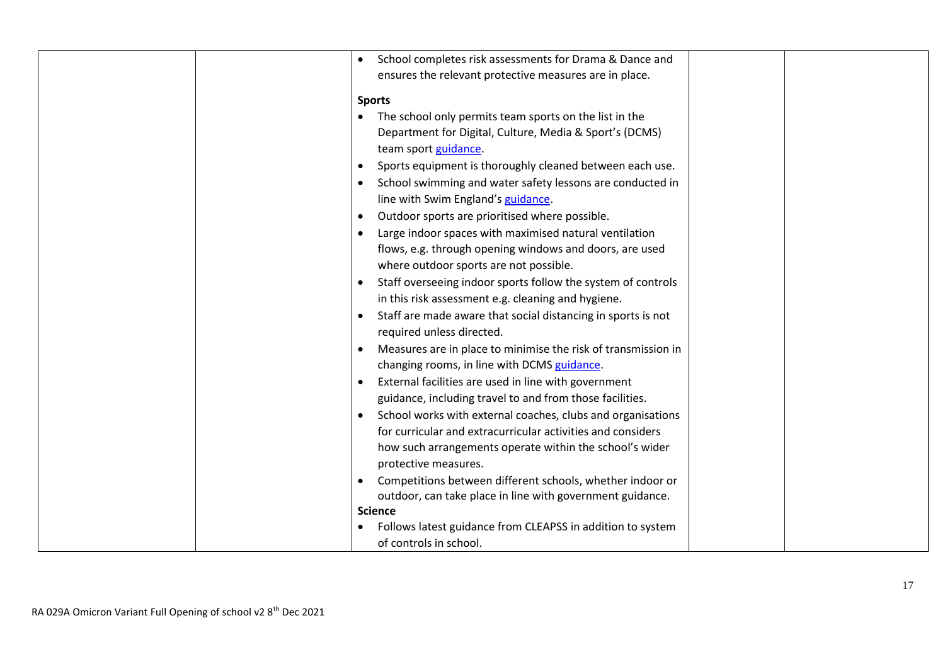| School completes risk assessments for Drama & Dance and       |
|---------------------------------------------------------------|
| ensures the relevant protective measures are in place.        |
| <b>Sports</b>                                                 |
| The school only permits team sports on the list in the        |
| Department for Digital, Culture, Media & Sport's (DCMS)       |
| team sport guidance.                                          |
| Sports equipment is thoroughly cleaned between each use.      |
| School swimming and water safety lessons are conducted in     |
| line with Swim England's guidance.                            |
| Outdoor sports are prioritised where possible.                |
| Large indoor spaces with maximised natural ventilation        |
| flows, e.g. through opening windows and doors, are used       |
| where outdoor sports are not possible.                        |
| Staff overseeing indoor sports follow the system of controls  |
| in this risk assessment e.g. cleaning and hygiene.            |
| Staff are made aware that social distancing in sports is not  |
| required unless directed.                                     |
| Measures are in place to minimise the risk of transmission in |
| changing rooms, in line with DCMS guidance.                   |
| External facilities are used in line with government          |
| guidance, including travel to and from those facilities.      |
| School works with external coaches, clubs and organisations   |
| for curricular and extracurricular activities and considers   |
| how such arrangements operate within the school's wider       |
| protective measures.                                          |
| Competitions between different schools, whether indoor or     |
| outdoor, can take place in line with government guidance.     |
| <b>Science</b>                                                |
| Follows latest guidance from CLEAPSS in addition to system    |
| of controls in school.                                        |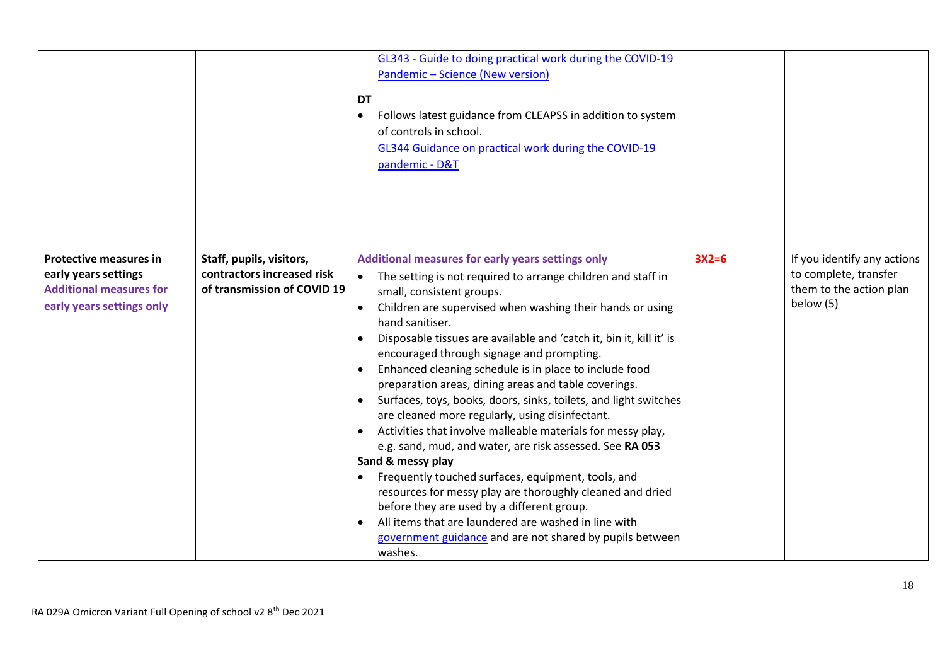|                                                                                                                      |                                                                                       | GL343 - Guide to doing practical work during the COVID-19<br>Pandemic - Science (New version)<br>DT<br>Follows latest guidance from CLEAPSS in addition to system<br>$\bullet$<br>of controls in school.<br>GL344 Guidance on practical work during the COVID-19<br>pandemic - D&T                                                                                                                                                                                                                                                                                                                                                                                                                                                                                                                                                                                                                                                                                                                                                          |         |                                                                                              |
|----------------------------------------------------------------------------------------------------------------------|---------------------------------------------------------------------------------------|---------------------------------------------------------------------------------------------------------------------------------------------------------------------------------------------------------------------------------------------------------------------------------------------------------------------------------------------------------------------------------------------------------------------------------------------------------------------------------------------------------------------------------------------------------------------------------------------------------------------------------------------------------------------------------------------------------------------------------------------------------------------------------------------------------------------------------------------------------------------------------------------------------------------------------------------------------------------------------------------------------------------------------------------|---------|----------------------------------------------------------------------------------------------|
| <b>Protective measures in</b><br>early years settings<br><b>Additional measures for</b><br>early years settings only | Staff, pupils, visitors,<br>contractors increased risk<br>of transmission of COVID 19 | Additional measures for early years settings only<br>The setting is not required to arrange children and staff in<br>small, consistent groups.<br>Children are supervised when washing their hands or using<br>hand sanitiser.<br>Disposable tissues are available and 'catch it, bin it, kill it' is<br>encouraged through signage and prompting.<br>Enhanced cleaning schedule is in place to include food<br>preparation areas, dining areas and table coverings.<br>Surfaces, toys, books, doors, sinks, toilets, and light switches<br>are cleaned more regularly, using disinfectant.<br>Activities that involve malleable materials for messy play,<br>e.g. sand, mud, and water, are risk assessed. See RA 053<br>Sand & messy play<br>Frequently touched surfaces, equipment, tools, and<br>resources for messy play are thoroughly cleaned and dried<br>before they are used by a different group.<br>All items that are laundered are washed in line with<br>government guidance and are not shared by pupils between<br>washes. | $3X2=6$ | If you identify any actions<br>to complete, transfer<br>them to the action plan<br>below (5) |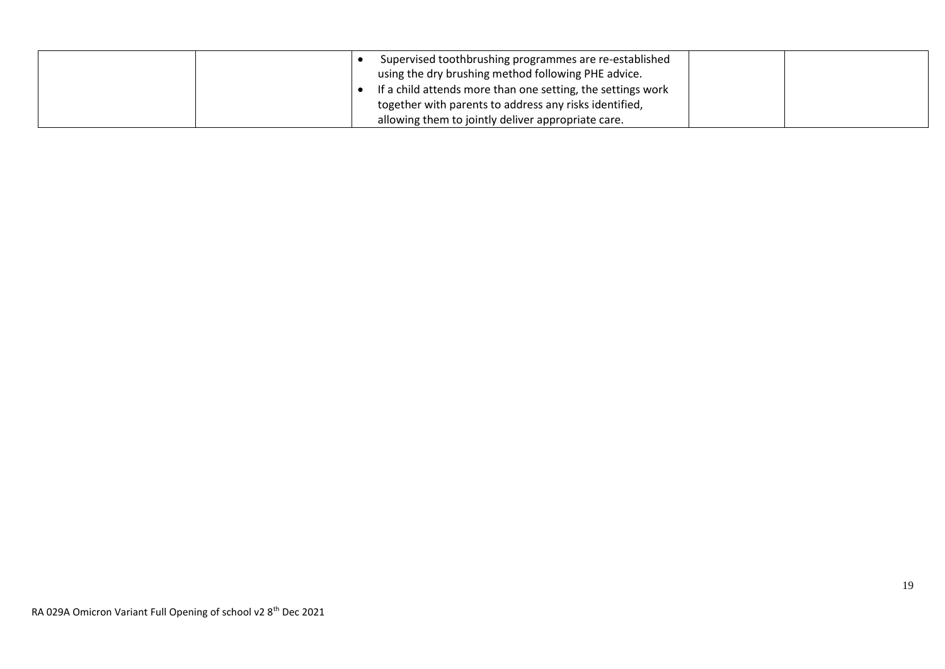|  | Supervised toothbrushing programmes are re-established<br>using the dry brushing method following PHE advice. |  |
|--|---------------------------------------------------------------------------------------------------------------|--|
|  | If a child attends more than one setting, the settings work                                                   |  |
|  | together with parents to address any risks identified,                                                        |  |
|  | allowing them to jointly deliver appropriate care.                                                            |  |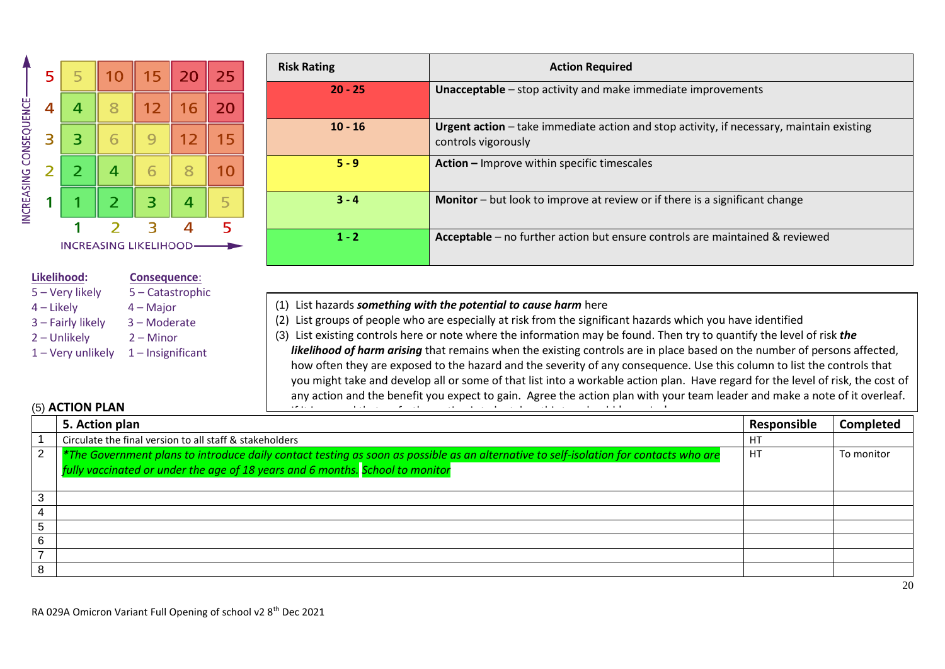

#### **Likelihood: Consequence**:

- 5 Very likely 5 Catastrophic 4 – Likely 4 – Major 3 – Fairly likely 3 – Moderate
- 2 Unlikely 2 Minor
- $1 -$  Very unlikely  $1 -$  Insignificant

| <b>Risk Rating</b> | <b>Action Required</b>                                                                                          |
|--------------------|-----------------------------------------------------------------------------------------------------------------|
| $20 - 25$          | <b>Unacceptable</b> – stop activity and make immediate improvements                                             |
| $10 - 16$          | Urgent action - take immediate action and stop activity, if necessary, maintain existing<br>controls vigorously |
| $5 - 9$            | Action - Improve within specific timescales                                                                     |
| $3 - 4$            | <b>Monitor</b> – but look to improve at review or if there is a significant change                              |
| $1 - 2$            | Acceptable – no further action but ensure controls are maintained & reviewed                                    |

- (1) List hazards *something with the potential to cause harm* here
- (2) List groups of people who are especially at risk from the significant hazards which you have identified
- (3) List existing controls here or note where the information may be found. Then try to quantify the level of risk *the likelihood of harm arising* that remains when the existing controls are in place based on the number of persons affected, how often they are exposed to the hazard and the severity of any consequence*.* Use this column to list the controls that you might take and develop all or some of that list into a workable action plan. Have regard for the level of risk, the cost of any action and the benefit you expect to gain. Agree the action plan with your team leader and make a note of it overleaf.

## (5) **ACTION PLAN**

| $(5)$ ACTION PLAN<br>the search of the company of the search<br>the contract of the contract of the contract of the contract of the contract of the contract of the contract of<br>.<br>$\cdots$ |                                                                                                                                                                                                                        |             |                  |  |  |  |
|--------------------------------------------------------------------------------------------------------------------------------------------------------------------------------------------------|------------------------------------------------------------------------------------------------------------------------------------------------------------------------------------------------------------------------|-------------|------------------|--|--|--|
|                                                                                                                                                                                                  | 5. Action plan                                                                                                                                                                                                         | Responsible | <b>Completed</b> |  |  |  |
|                                                                                                                                                                                                  | Circulate the final version to all staff & stakeholders                                                                                                                                                                |             |                  |  |  |  |
| $\overline{2}$                                                                                                                                                                                   | *The Government plans to introduce daily contact testing as soon as possible as an alternative to self-isolation for contacts who are<br>fully vaccinated or under the age of 18 years and 6 months. School to monitor | HT          | To monitor       |  |  |  |
| 3                                                                                                                                                                                                |                                                                                                                                                                                                                        |             |                  |  |  |  |
|                                                                                                                                                                                                  |                                                                                                                                                                                                                        |             |                  |  |  |  |
| 5                                                                                                                                                                                                |                                                                                                                                                                                                                        |             |                  |  |  |  |
| 6                                                                                                                                                                                                |                                                                                                                                                                                                                        |             |                  |  |  |  |
|                                                                                                                                                                                                  |                                                                                                                                                                                                                        |             |                  |  |  |  |
| 8                                                                                                                                                                                                |                                                                                                                                                                                                                        |             |                  |  |  |  |